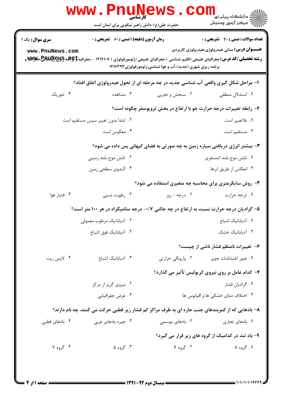|                                                                                                  | <b>WWW.FNUNE</b><br>کارشناسی<br>حضرت علی(ع): دانش راهبر نیکویی برای ایمان است                                                                              |                                                                     | <mark>د د</mark> انشگاه پيام نور ■<br>  <i> &gt;</i><br> } |  |
|--------------------------------------------------------------------------------------------------|------------------------------------------------------------------------------------------------------------------------------------------------------------|---------------------------------------------------------------------|------------------------------------------------------------|--|
| <b>سری سوال :</b> یک ۱                                                                           | <b>زمان آزمون (دقیقه) : تستی : 60 ٪ تشریحی : 0</b>                                                                                                         |                                                                     | <b>تعداد سوالات : تستی : 30 ٪ تشریحی : 0</b>               |  |
| www.PnuNews.com                                                                                  | <b>رشته تحصیلی/کد درس:</b> جغرافیای طبیعی (اقلیم شناسی )،جغرافیای طبیعی (ژئومورفولوژی ) ۱۲۱۶۱۰۷ - ،جغرافیا <b>کاپولاله گیلاپولالیلاپاچولالله گیلاپولال</b> | برنامه ریزی شهری (جدید)،آب و هوا شناسی،ژئومورفولوژی ۱۲۱۶۳۹۳         | <b>عنـــوان درس:</b> مبانی هیدرولوژی،هیدرولوژی کاربردی     |  |
| ۱– مراحل شکل گیری واقعی آب شناسی جدید در چه مرحله ای از تحول هیدرولوژی اتفاق افتاد؟              |                                                                                                                                                            |                                                                     |                                                            |  |
| ۰۴ تئوریک                                                                                        | ۰۳ مشاهده                                                                                                                                                  | ۰۲ سنجش و تجربی                                                     | ۰۱ استدلال منطقی                                           |  |
|                                                                                                  |                                                                                                                                                            | ۲- رابطه تغییرات درجه حرارت جو با ارتفاع در بخش تروپوسفر چگونه است؟ |                                                            |  |
|                                                                                                  | ۰۲ ابتدا بدون تغییر سپس مستقیم است                                                                                                                         |                                                                     | ٠١ بلاتغيير است                                            |  |
|                                                                                                  | ۰۴ معکوس است                                                                                                                                               |                                                                     | ۰۳ مستقیم است                                              |  |
| ۳- بیشتر انرژی دریافتی سیاره زمین به چه صورتی به فضای کیهانی پس داده می شود؟                     |                                                                                                                                                            |                                                                     |                                                            |  |
|                                                                                                  | ۰۲ تابش موج بلند زمینی                                                                                                                                     |                                                                     | ۰۱ تابش موج بلند اتمسفري                                   |  |
|                                                                                                  | ۰۴ آلبدوی سطحی زمین                                                                                                                                        |                                                                     | ۰۳ انعکاس از طريق ابرها                                    |  |
| ۴- روش سایکرمتری برای محاسبه چه متغیری استفاده می شود؟                                           |                                                                                                                                                            |                                                                     |                                                            |  |
| ۰۴ فشار هوا                                                                                      | ۰۳ رطوبت نسبی                                                                                                                                              | ۰۲ درجه - روز                                                       | ۰۱ درجه حرارت                                              |  |
|                                                                                                  | ۵– گرادیان درجه حرارت نسبت به ارتفاع در چه حالتی ۰/۷- درجه سانتیگراد در هر ۱۰۰ متر است؟                                                                    |                                                                     |                                                            |  |
|                                                                                                  | ۰۲ آدیاباتیک مرطوب معمولی                                                                                                                                  |                                                                     | ۰۱ آدیاباتیک اشباع                                         |  |
|                                                                                                  | ۰۴ آدیاباتیک فوق اشباع                                                                                                                                     |                                                                     | ۰۳ آدیاباتیک خشک                                           |  |
|                                                                                                  |                                                                                                                                                            |                                                                     | ۶- تغییرات نامنظم فشار ناشی از چیست؟                       |  |
| ۰۴ لاپس ريت                                                                                      | ۰۳ آدیاباتیک اشباع                                                                                                                                         | ۰۲ وارونگی حرارتی                                                   | ۰۱ عبور اغتشاشات جوی                                       |  |
|                                                                                                  |                                                                                                                                                            |                                                                     | ۷- کدام عامل بر روی نیروی کریولیس تأثیر می گذارد؟          |  |
|                                                                                                  | ۰۲ نیروی گریز از مرکز                                                                                                                                      |                                                                     | ۰۱ گرادیان فشار                                            |  |
|                                                                                                  | ۰۴ عرض جغرافيايي                                                                                                                                           |                                                                     | ۰۳ اختلاف دمای خشکی ها و اقیانوس ها                        |  |
| ۸– بادهایی که از کمربندهای جنب حاره ای به طرف مراکز کم فشار زیر قطبی حرکت می کنند، چه نام دارند؟ |                                                                                                                                                            |                                                                     |                                                            |  |
| ۰۴ بادهای قطبی                                                                                   | ۰۳ چیره بادهای غربی                                                                                                                                        | ۲. بادهای موسمی                                                     | ۰۱. بادهای تجاری                                           |  |
|                                                                                                  |                                                                                                                                                            |                                                                     | ۹- باد تند در کدامیک از گروه های زیر قرار می گیرد؟         |  |
| ۰۴ گروه ۷                                                                                        | ۰۳ گروه ۵                                                                                                                                                  | ۰۲ گروه ۶                                                           | ۱. گروه ۸                                                  |  |
|                                                                                                  |                                                                                                                                                            |                                                                     |                                                            |  |
|                                                                                                  |                                                                                                                                                            |                                                                     |                                                            |  |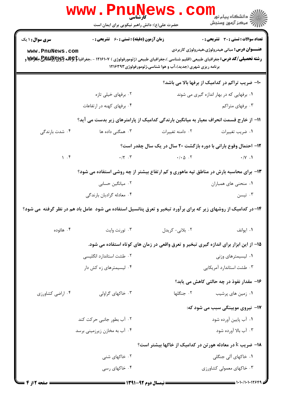|                                                                                                                | <b>WWW.PNUNEWS</b><br><b>َ کارشناسی</b><br>حضرت علی(ع): دانش راهبر نیکویی برای ایمان است                                                                                                                                                                                           |                  | ر دانشڪاه پيام نور <mark>−</mark><br>ا∛ مرکز آزمون وسنڊش                                               |  |
|----------------------------------------------------------------------------------------------------------------|------------------------------------------------------------------------------------------------------------------------------------------------------------------------------------------------------------------------------------------------------------------------------------|------------------|--------------------------------------------------------------------------------------------------------|--|
| سری سوال : ۱ یک<br>www.PnuNews.com                                                                             | <b>زمان آزمون (دقیقه) : تستی : 60 ٪ تشریحی : 0</b><br><b>رشته تحصیلی/کد درس:</b> جغرافیای طبیعی (اقلیم شناسی )،جغرافیای طبیعی (ژئومورفولوژی ) ۱۲۱۶۱۰۷ - ،جغرافیا <b>کاپولاله گیلاپولالیلاپاچیلاپولا</b> لوپاچی<br>د<br>برنامه ریزی شهری (جدید)،آب و هوا شناسی،ژئومورفولوژی ۱۲۱۶۳۹۳ |                  | <b>تعداد سوالات : تستي : 30 ٪ تشريحي : 0</b><br><b>عنـــوان درس:</b> مبانی هیدرولوژی،هیدرولوژی کاربردی |  |
|                                                                                                                | 10- ضریب تراکم در کدامیک از برفها بالا می باشد؟                                                                                                                                                                                                                                    |                  |                                                                                                        |  |
|                                                                                                                | ۰۲ برفهای خیلی تازه                                                                                                                                                                                                                                                                |                  | ۰۱ برفهایی که در بهار اندازه گیری می شوند                                                              |  |
|                                                                                                                | ۰۴ برفهای کهنه در ارتفاعات                                                                                                                                                                                                                                                         |                  | ۰۳ برفهای متراکم                                                                                       |  |
|                                                                                                                | 1۱– از خارج قسمت انحراف معیار به میانگین بارندگی کدامیک از پارامترهای زیر بدست می آید؟                                                                                                                                                                                             |                  |                                                                                                        |  |
| ۰۴ شدت بارندگی                                                                                                 | ۰۳ همگنی داده ها                                                                                                                                                                                                                                                                   | ۰۲ دامنه تغییرات | ۰۱ ضریب تغییرات                                                                                        |  |
|                                                                                                                |                                                                                                                                                                                                                                                                                    |                  | ۱۲- احتمال وقوع بارانی با دوره بازگشت ۲۰ سال در یک سال چقدر است؟                                       |  |
| 1.5                                                                                                            | $\cdot$ / $\cdot$ . $\cdot$                                                                                                                                                                                                                                                        |                  | $\cdot / \cdot \Delta$ $\cdot$ $\cdot$ $\sim$ $\cdot / \sqrt{ \cdot \cdot \cdot }$                     |  |
| ۱۳- برای محاسبه بارش در مناطق تپه ماهوری و کم ارتفاع بیشتر از چه روشی استفاده می شود؟                          |                                                                                                                                                                                                                                                                                    |                  |                                                                                                        |  |
|                                                                                                                | ۰۲ میانگین حسابی                                                                                                                                                                                                                                                                   |                  | ۰۱ منحنی های همباران                                                                                   |  |
|                                                                                                                | ۰۴ معادله گراديان بارندگي                                                                                                                                                                                                                                                          |                  | ۰۳ تيسن                                                                                                |  |
| ۱۴–در کدامیک از روشهای زیر که برای برآورد تبخیر و تعرق پتانسیل استفاده می شود عامل باد هم در نظر گرفته می شود؟ |                                                                                                                                                                                                                                                                                    |                  |                                                                                                        |  |
| ۰۴ هائوده                                                                                                      | ۰۳ تورنت وايت                                                                                                                                                                                                                                                                      | ۰۲ بلانی- کریدل  | ۰۱ ایوانف                                                                                              |  |
|                                                                                                                | ۱۵– از این ابزار برای اندازه گیری تبخیر و تعرق واقعی در زمان های کوتاه استفاده می شود.                                                                                                                                                                                             |                  |                                                                                                        |  |
|                                                                                                                | ۰۲ طشت استاندارد انگلیسی                                                                                                                                                                                                                                                           |                  | ۰۱ لیسیمترهای وزنی                                                                                     |  |
|                                                                                                                | ۰۴ لیسیمترهای زه کش دار                                                                                                                                                                                                                                                            |                  | ۰۳ طشت استاندارد آمریکایی                                                                              |  |
|                                                                                                                |                                                                                                                                                                                                                                                                                    |                  | ۱۶- مقدار نفوذ در چه حالتی کاهش می یابد؟                                                               |  |
| ۰۴ اراضی کشاورزی                                                                                               | ۰۳ خاکهای گراولی                                                                                                                                                                                                                                                                   | ٢. جنگلها        | ۰۱ زمین های پرشیب                                                                                      |  |
|                                                                                                                |                                                                                                                                                                                                                                                                                    |                  | <b>۱۷- نیروی مویینگی سبب می شود که:</b>                                                                |  |
|                                                                                                                | ۰۲ آب بطور جانبی حرکت کند                                                                                                                                                                                                                                                          |                  | ۰۱ آب پایین آورده شود                                                                                  |  |
|                                                                                                                | ۰۴ آب به مخازن زیرزمینی برسد                                                                                                                                                                                                                                                       |                  | ۰۳ آب بالا آورده شود                                                                                   |  |
| <b>۱۸</b> - ضریب k در معادله هورتن در کدامیک از خاکها بیشتر است؟                                               |                                                                                                                                                                                                                                                                                    |                  |                                                                                                        |  |
|                                                                                                                | ۰۲ خاکهای شنی                                                                                                                                                                                                                                                                      |                  | ۰۱ خاکهای آلی جنگلی                                                                                    |  |
|                                                                                                                | ۰۴ خاکهای رسی                                                                                                                                                                                                                                                                      |                  | ۰۳ خاکهای معمولی کشاورزی                                                                               |  |
|                                                                                                                |                                                                                                                                                                                                                                                                                    |                  |                                                                                                        |  |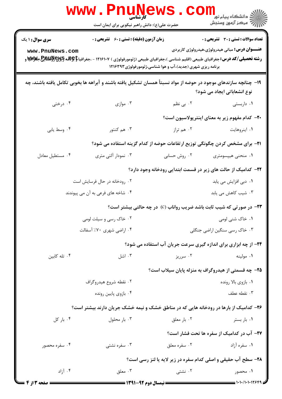|                                                                                                                                                | www . Pn<br>کار شناس <i>ی</i><br>حضرت علی(ع): دانش راهبر نیکویی برای ایمان است                                                                            |                                                            | الان دانشگاه پيام نور دا<br>۱۳۸۰ مرکز آزمون وسنجش                       |  |
|------------------------------------------------------------------------------------------------------------------------------------------------|-----------------------------------------------------------------------------------------------------------------------------------------------------------|------------------------------------------------------------|-------------------------------------------------------------------------|--|
| <b>سری سوال : ۱ یک</b>                                                                                                                         | <b>زمان آزمون (دقیقه) : تستی : 60 ٪ تشریحی : 0</b>                                                                                                        |                                                            | تعداد سوالات : تستى : 30 - تشريحي : 0                                   |  |
| www.PnuNews.com                                                                                                                                | <b>رشته تحصیلی/کد درس:</b> جغرافیای طبیعی (اقلیم شناسی )،جغرافیای طبیعی (ژئومورفولوژی ) ۱۲۱۶۱۰۷ - ،جغرافیا <b>کاچلاسچیلاپولاللاللايع استان میلاپ</b><br>د | برنامه ریزی شهری (جدید)،آب و هوا شناسی،ژئومورفولوژی۱۲۱۶۳۹۳ | <b>عنـــوان درس:</b> مبانی هیدرولوژی،هیدرولوژی کاربردی                  |  |
| ۱۹– چنانچه سازندهای موجود در حوضه از مواد نسبتأ همسان تشکیل یافته باشند و آبراهه ها بخوبی تکامل یافته باشند، چه<br>نوع انشعاباتی ایجاد می شود؟ |                                                                                                                                                           |                                                            |                                                                         |  |
| ۰۴ درختی                                                                                                                                       | ۰۳ موازي                                                                                                                                                  | ۲. بی نظم                                                  | ٠١ داربستى                                                              |  |
|                                                                                                                                                |                                                                                                                                                           |                                                            | +۲- کدام مفهوم زیر به معنای اینترپولاسیون است؟                          |  |
| ۰۴ وسط يابي                                                                                                                                    | ۰۳ هم کنتور                                                                                                                                               | ۰۲ هم تراز                                                 | ۰۱ اینروهایت                                                            |  |
|                                                                                                                                                | <b>۲۱</b> - برای مشخص کردن چگونگی توزیع ارتفاعات حوضه از کدام گزینه استفاده می شود؟                                                                       |                                                            |                                                                         |  |
| ۰۴ مستطيل معادل                                                                                                                                | ۰۳ نمودار آلتی متری                                                                                                                                       | ۰۲ روش حسابی                                               | ۰۱ منحنی هیپسومتری                                                      |  |
| <b>۲۲</b> – کدامیک از حالت های زیر در قسمت ابتدایی رودخانه وجود دارد؟                                                                          |                                                                                                                                                           |                                                            |                                                                         |  |
|                                                                                                                                                | ۰۲ رودخانه در حال فرسایش است                                                                                                                              |                                                            | ۰۱ دبی افزایش می یابد                                                   |  |
|                                                                                                                                                | ۰۴ شاخه های فرعی به آن می پیوندند                                                                                                                         |                                                            | ۰۳ شیب کاهش می یابد                                                     |  |
| <b>۲۳</b> - در صورتی که شیب ثابت باشد ضریب رواناب (C) در چه حالتی بیشتر است؟                                                                   |                                                                                                                                                           |                                                            |                                                                         |  |
|                                                                                                                                                | ۰۲ خاک رسی و سیلت لومی                                                                                                                                    |                                                            | ۰۱ خاک شنی لومی                                                         |  |
|                                                                                                                                                | ۰۴ اراضی شهری ۷۰٪ آسفالت<br>۰۳ خاک رسی سنگین اراضی جنگلی                                                                                                  |                                                            |                                                                         |  |
|                                                                                                                                                |                                                                                                                                                           |                                                            | <b>۲۴</b> - از چه ابزاری برای اندازه گیری سرعت جریان آب استفاده می شود؟ |  |
| ۰۴ تله کابین                                                                                                                                   | ۰۳ اشل                                                                                                                                                    | ۰۲ سرریز                                                   | ۰۱ مولینه                                                               |  |
|                                                                                                                                                |                                                                                                                                                           |                                                            | ۲۵- چه قسمتی از هیدروگراف به منزله پایان سیلاب است؟                     |  |
|                                                                                                                                                | ۰۲ نقطه شروع هیدروگراف                                                                                                                                    |                                                            | ۰۱ بازوی بالا رونده                                                     |  |
|                                                                                                                                                | ۰۴ بازوی پایین رونده                                                                                                                                      |                                                            | ۰۳ نقطه عطف                                                             |  |
| ۲۶- کدامیک از بارها در رودخانه هایی که در مناطق خشک و نیمه خشک جریان دارند بیشتر است؟                                                          |                                                                                                                                                           |                                                            |                                                                         |  |
| ۰۴ بار کل                                                                                                                                      | ۰۳ بار محلول                                                                                                                                              | ۰۲ بار معلق                                                | ۰۱ بار بستر                                                             |  |
|                                                                                                                                                |                                                                                                                                                           |                                                            | ٢٧- آب در كداميك از سفره ها تحت فشار است؟                               |  |
| ۰۴ سفره محصور                                                                                                                                  | ۰۳ سفره نشتی                                                                                                                                              | ۰۲ سفره معلق                                               | ۰۱ سفره آزاد                                                            |  |
| 28- سطح آب حقیقی و اصلی کدام سفره در زیر لایه یا لنز رسی است؟                                                                                  |                                                                                                                                                           |                                                            |                                                                         |  |
| ۰۴ آزاد                                                                                                                                        | ۰۳ معلق                                                                                                                                                   | ۰۲ نشتی                                                    | ۰۱ محصور                                                                |  |
| <b>ــــ صفحه 3 از 4</b>                                                                                                                        |                                                                                                                                                           | <b>ـــــــــــــــــ</b> نیمسال دوم ۹۲-۱۳۹۱ <b>ـــ</b>     | $\frac{1}{2}$ 1.1./1.1.17999                                            |  |